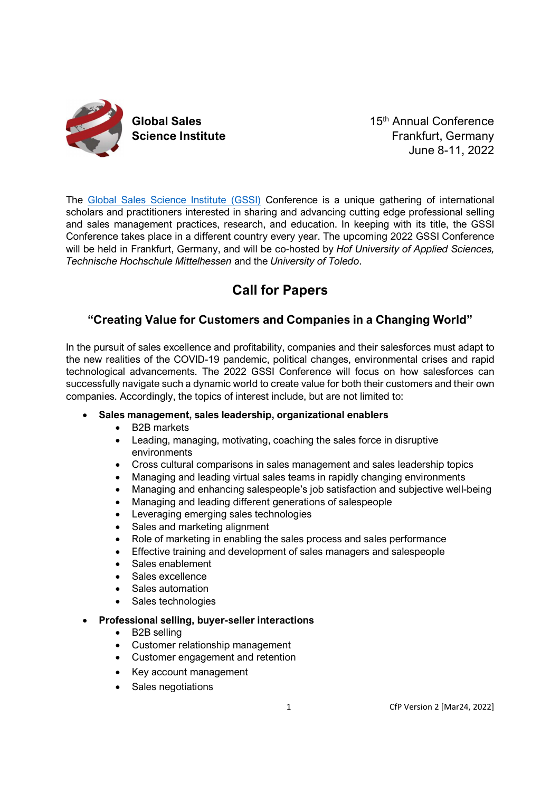

Global Sales **15th Annual Conference** Science Institute **Science Institute Frankfurt, Germany** June 8-11, 2022

The Global Sales Science Institute (GSSI) Conference is a unique gathering of international scholars and practitioners interested in sharing and advancing cutting edge professional selling and sales management practices, research, and education. In keeping with its title, the GSSI Conference takes place in a different country every year. The upcoming 2022 GSSI Conference will be held in Frankfurt, Germany, and will be co-hosted by Hof University of Applied Sciences, Technische Hochschule Mittelhessen and the University of Toledo.

# Call for Papers

## "Creating Value for Customers and Companies in a Changing World"

In the pursuit of sales excellence and profitability, companies and their salesforces must adapt to the new realities of the COVID-19 pandemic, political changes, environmental crises and rapid technological advancements. The 2022 GSSI Conference will focus on how salesforces can successfully navigate such a dynamic world to create value for both their customers and their own companies. Accordingly, the topics of interest include, but are not limited to:

- Sales management, sales leadership, organizational enablers
	- B2B markets
	- Leading, managing, motivating, coaching the sales force in disruptive environments
	- Cross cultural comparisons in sales management and sales leadership topics
	- Managing and leading virtual sales teams in rapidly changing environments
	- Managing and enhancing salespeople's job satisfaction and subjective well-being
	- Managing and leading different generations of salespeople
	- Leveraging emerging sales technologies
	- Sales and marketing alignment
	- Role of marketing in enabling the sales process and sales performance
	- Effective training and development of sales managers and salespeople
	- Sales enablement
	- Sales excellence
	- Sales automation
	- Sales technologies

## Professional selling, buyer-seller interactions

- B2B selling
- Customer relationship management
- Customer engagement and retention
- Key account management
- Sales negotiations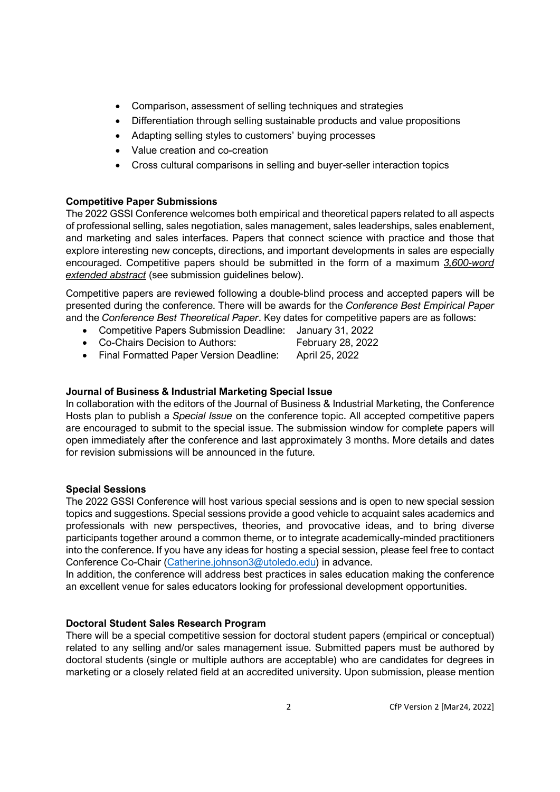- Comparison, assessment of selling techniques and strategies
- Differentiation through selling sustainable products and value propositions
- Adapting selling styles to customers' buying processes
- Value creation and co-creation
- Cross cultural comparisons in selling and buyer-seller interaction topics

## Competitive Paper Submissions

The 2022 GSSI Conference welcomes both empirical and theoretical papers related to all aspects of professional selling, sales negotiation, sales management, sales leaderships, sales enablement, and marketing and sales interfaces. Papers that connect science with practice and those that explore interesting new concepts, directions, and important developments in sales are especially encouraged. Competitive papers should be submitted in the form of a maximum 3,600-word extended abstract (see submission guidelines below).

Competitive papers are reviewed following a double-blind process and accepted papers will be presented during the conference. There will be awards for the Conference Best Empirical Paper and the Conference Best Theoretical Paper. Key dates for competitive papers are as follows:

- Competitive Papers Submission Deadline: January 31, 2022
- Co-Chairs Decision to Authors: February 28, 2022
- Final Formatted Paper Version Deadline: April 25, 2022

## Journal of Business & Industrial Marketing Special Issue

In collaboration with the editors of the Journal of Business & Industrial Marketing, the Conference Hosts plan to publish a Special Issue on the conference topic. All accepted competitive papers are encouraged to submit to the special issue. The submission window for complete papers will open immediately after the conference and last approximately 3 months. More details and dates for revision submissions will be announced in the future.

## Special Sessions

The 2022 GSSI Conference will host various special sessions and is open to new special session topics and suggestions. Special sessions provide a good vehicle to acquaint sales academics and professionals with new perspectives, theories, and provocative ideas, and to bring diverse participants together around a common theme, or to integrate academically-minded practitioners into the conference. If you have any ideas for hosting a special session, please feel free to contact Conference Co-Chair (Catherine.johnson3@utoledo.edu) in advance.

In addition, the conference will address best practices in sales education making the conference an excellent venue for sales educators looking for professional development opportunities.

## Doctoral Student Sales Research Program

There will be a special competitive session for doctoral student papers (empirical or conceptual) related to any selling and/or sales management issue. Submitted papers must be authored by doctoral students (single or multiple authors are acceptable) who are candidates for degrees in marketing or a closely related field at an accredited university. Upon submission, please mention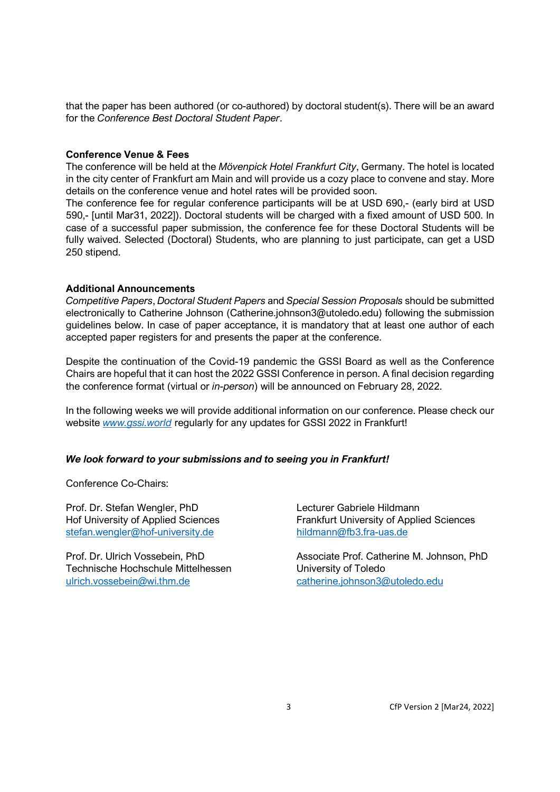that the paper has been authored (or co-authored) by doctoral student(s). There will be an award for the Conference Best Doctoral Student Paper.

#### Conference Venue & Fees

The conference will be held at the Mövenpick Hotel Frankfurt City, Germany. The hotel is located in the city center of Frankfurt am Main and will provide us a cozy place to convene and stay. More details on the conference venue and hotel rates will be provided soon.

The conference fee for regular conference participants will be at USD 690,- (early bird at USD 590,- [until Mar31, 2022]). Doctoral students will be charged with a fixed amount of USD 500. In case of a successful paper submission, the conference fee for these Doctoral Students will be fully waived. Selected (Doctoral) Students, who are planning to just participate, can get a USD 250 stipend.

#### Additional Announcements

Competitive Papers, Doctoral Student Papers and Special Session Proposals should be submitted electronically to Catherine Johnson (Catherine.johnson3@utoledo.edu) following the submission guidelines below. In case of paper acceptance, it is mandatory that at least one author of each accepted paper registers for and presents the paper at the conference.

Despite the continuation of the Covid-19 pandemic the GSSI Board as well as the Conference Chairs are hopeful that it can host the 2022 GSSI Conference in person. A final decision regarding the conference format (virtual or in-person) will be announced on February 28, 2022.

In the following weeks we will provide additional information on our conference. Please check our website www.gssi.world regularly for any updates for GSSI 2022 in Frankfurt!

#### We look forward to your submissions and to seeing you in Frankfurt!

Conference Co-Chairs:

Prof. Dr. Stefan Wengler, PhD Lecturer Gabriele Hildmann stefan.wengler@hof-university.de hildmann@fb3.fra-uas.de

Technische Hochschule Mittelhessen University of Toledo ulrich.vossebein@wi.thm.de catherine.johnson3@utoledo.edu

Hof University of Applied Sciences Frankfurt University of Applied Sciences

Prof. Dr. Ulrich Vossebein, PhD Associate Prof. Catherine M. Johnson, PhD